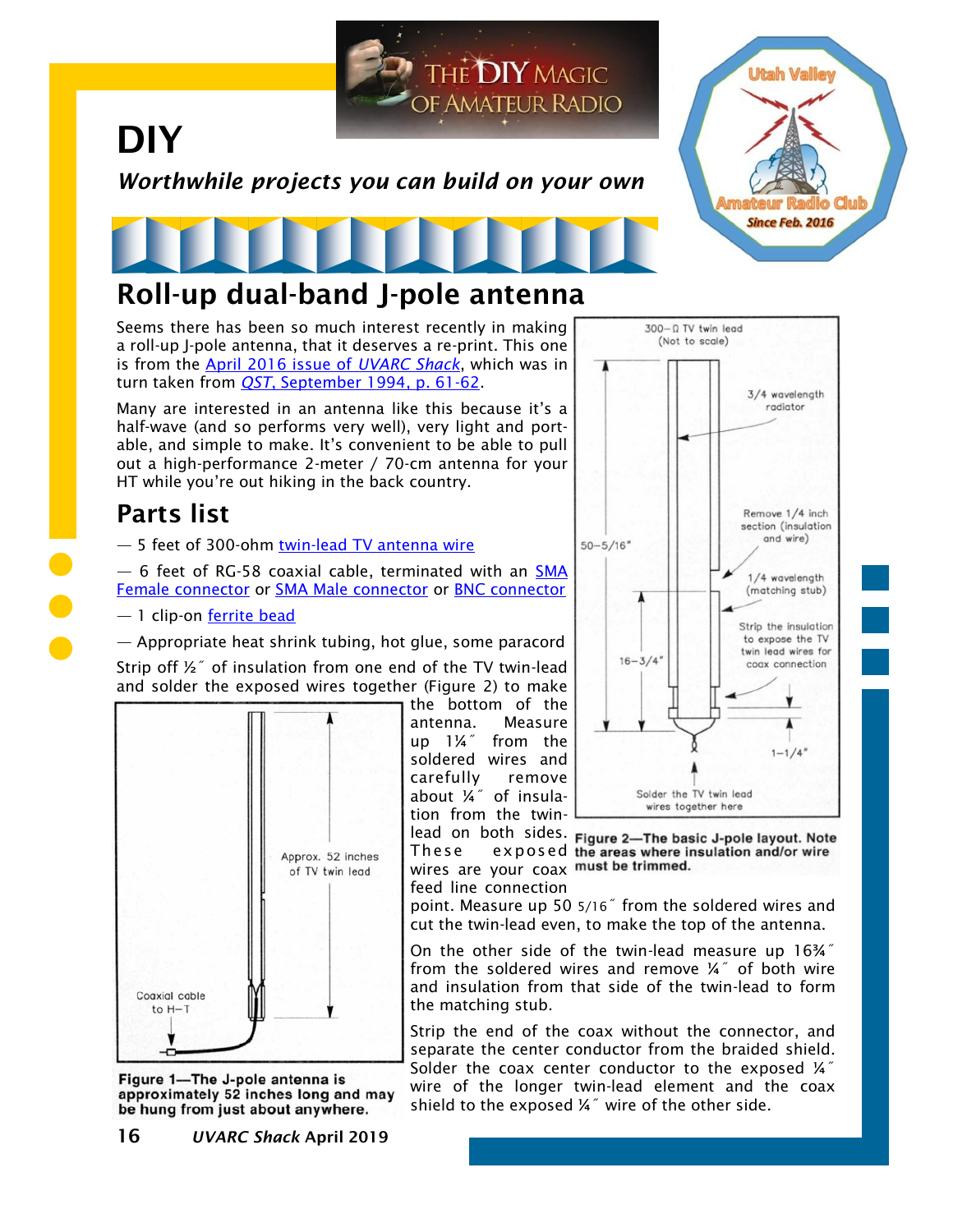

Seems there has been so much interest recently in making a roll-up J-pole antenna, that it deserves a re-print. This one is from the [April 2016 issue of](https://noji.com/hamradio/uvarc/shack/UVARC-Shack-1604.pdf) *UVARC Shack*, which was in turn taken from *QST*, September 1994, p. 61-62.

Many are interested in an antenna like this because it's a half-wave (and so performs very well), very light and portable, and simple to make. It's convenient to be able to pull out a high-performance 2-meter / 70-cm antenna for your HT while you're out hiking in the back country.

## **Parts list**

- 5 feet of 300-ohm [twin-lead TV antenna wire](https://www.ebay.com/itm/113200046410)

— 6 feet of RG-58 coaxial cable, terminated with an [SMA](https://amzn.to/2FGlJb5)  [Female connector](https://amzn.to/2FGlJb5) or [SMA Male connector](https://amzn.to/2FGlJb5) or [BNC connector](https://amzn.to/2V9qlgj)

## — 1 clip-on [ferrite bead](https://amzn.to/2FMuVvO)

— Appropriate heat shrink tubing, hot glue, some paracord

Strip off ½˝ of insulation from one end of the TV twin-lead and solder the exposed wires together (Figure 2) to make



Figure 1-The J-pole antenna is approximately 52 inches long and may be hung from just about anywhere.

the bottom of the antenna. Measure up 1¼˝ from the soldered wires and carefully remove about ¼˝ of insulation from the twin-



lead on both sides. Figure 2-The basic J-pole layout. Note These exposed the areas where insulation and/or wire wires are your coax must be trimmed. feed line connection

point. Measure up 50 5/16˝ from the soldered wires and cut the twin-lead even, to make the top of the antenna.

On the other side of the twin-lead measure up 16¾˝ from the soldered wires and remove ¼" of both wire and insulation from that side of the twin-lead to form the matching stub.

Strip the end of the coax without the connector, and separate the center conductor from the braided shield. Solder the coax center conductor to the exposed  $\frac{1}{4}$ wire of the longer twin-lead element and the coax shield to the exposed ¼" wire of the other side.